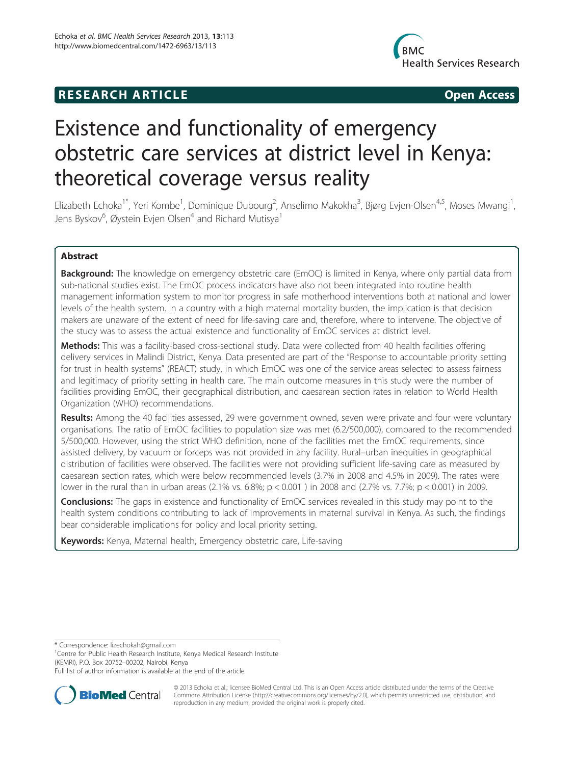# **RESEARCH ARTICLE Example 2014 The SEAR CH ACCESS**



# Existence and functionality of emergency obstetric care services at district level in Kenya: theoretical coverage versus reality

Elizabeth Echoka<sup>1\*</sup>, Yeri Kombe<sup>1</sup>, Dominique Dubourg<sup>2</sup>, Anselimo Makokha<sup>3</sup>, Bjørg Evjen-Olsen<sup>4,5</sup>, Moses Mwangi<sup>1</sup> , Jens Byskov<sup>6</sup>, Øystein Evjen Olsen<sup>4</sup> and Richard Mutisya<sup>1</sup>

# Abstract

**Background:** The knowledge on emergency obstetric care (EmOC) is limited in Kenya, where only partial data from sub-national studies exist. The EmOC process indicators have also not been integrated into routine health management information system to monitor progress in safe motherhood interventions both at national and lower levels of the health system. In a country with a high maternal mortality burden, the implication is that decision makers are unaware of the extent of need for life-saving care and, therefore, where to intervene. The objective of the study was to assess the actual existence and functionality of EmOC services at district level.

Methods: This was a facility-based cross-sectional study. Data were collected from 40 health facilities offering delivery services in Malindi District, Kenya. Data presented are part of the "Response to accountable priority setting for trust in health systems" (REACT) study, in which EmOC was one of the service areas selected to assess fairness and legitimacy of priority setting in health care. The main outcome measures in this study were the number of facilities providing EmOC, their geographical distribution, and caesarean section rates in relation to World Health Organization (WHO) recommendations.

Results: Among the 40 facilities assessed, 29 were government owned, seven were private and four were voluntary organisations. The ratio of EmOC facilities to population size was met (6.2/500,000), compared to the recommended 5/500,000. However, using the strict WHO definition, none of the facilities met the EmOC requirements, since assisted delivery, by vacuum or forceps was not provided in any facility. Rural–urban inequities in geographical distribution of facilities were observed. The facilities were not providing sufficient life-saving care as measured by caesarean section rates, which were below recommended levels (3.7% in 2008 and 4.5% in 2009). The rates were lower in the rural than in urban areas (2.1% vs. 6.8%; p < 0.001 ) in 2008 and (2.7% vs. 7.7%; p < 0.001) in 2009.

**Conclusions:** The gaps in existence and functionality of EmOC services revealed in this study may point to the health system conditions contributing to lack of improvements in maternal survival in Kenya. As such, the findings bear considerable implications for policy and local priority setting.

Keywords: Kenya, Maternal health, Emergency obstetric care, Life-saving

\* Correspondence: [lizechokah@gmail.com](mailto:lizechokah@gmail.com) <sup>1</sup>

<sup>1</sup> Centre for Public Health Research Institute, Kenya Medical Research Institute (KEMRI), P.O. Box 20752–00202, Nairobi, Kenya

Full list of author information is available at the end of the article



© 2013 Echoka et al.; licensee BioMed Central Ltd. This is an Open Access article distributed under the terms of the Creative Commons Attribution License [\(http://creativecommons.org/licenses/by/2.0\)](http://creativecommons.org/licenses/by/2.0), which permits unrestricted use, distribution, and reproduction in any medium, provided the original work is properly cited.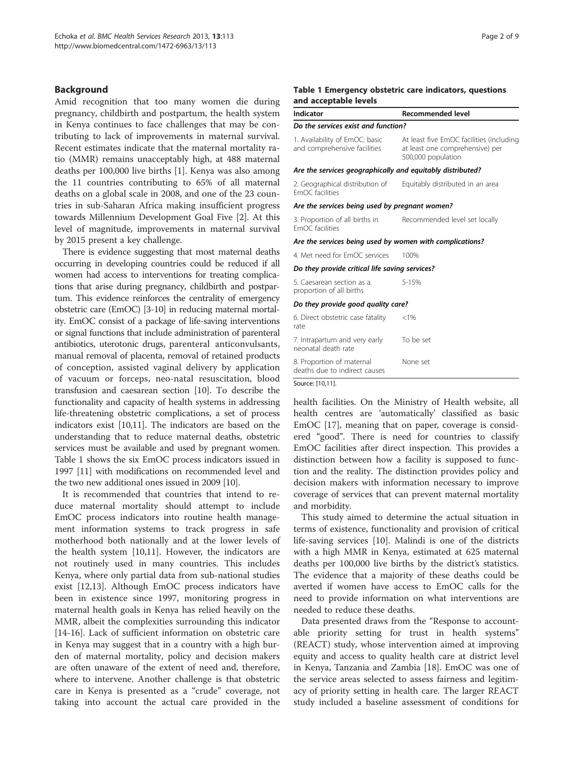## Background

Amid recognition that too many women die during pregnancy, childbirth and postpartum, the health system in Kenya continues to face challenges that may be contributing to lack of improvements in maternal survival. Recent estimates indicate that the maternal mortality ratio (MMR) remains unacceptably high, at 488 maternal deaths per 100,000 live births [\[1\]](#page-7-0). Kenya was also among the 11 countries contributing to 65% of all maternal deaths on a global scale in 2008, and one of the 23 countries in sub-Saharan Africa making insufficient progress towards Millennium Development Goal Five [\[2](#page-7-0)]. At this level of magnitude, improvements in maternal survival by 2015 present a key challenge.

There is evidence suggesting that most maternal deaths occurring in developing countries could be reduced if all women had access to interventions for treating complications that arise during pregnancy, childbirth and postpartum. This evidence reinforces the centrality of emergency obstetric care (EmOC) [\[3-10](#page-7-0)] in reducing maternal mortality. EmOC consist of a package of life-saving interventions or signal functions that include administration of parenteral antibiotics, uterotonic drugs, parenteral anticonvulsants, manual removal of placenta, removal of retained products of conception, assisted vaginal delivery by application of vacuum or forceps, neo-natal resuscitation, blood transfusion and caesarean section [[10](#page-7-0)]. To describe the functionality and capacity of health systems in addressing life-threatening obstetric complications, a set of process indicators exist [[10,11](#page-7-0)]. The indicators are based on the understanding that to reduce maternal deaths, obstetric services must be available and used by pregnant women. Table 1 shows the six EmOC process indicators issued in 1997 [[11](#page-7-0)] with modifications on recommended level and the two new additional ones issued in 2009 [\[10](#page-7-0)].

It is recommended that countries that intend to reduce maternal mortality should attempt to include EmOC process indicators into routine health management information systems to track progress in safe motherhood both nationally and at the lower levels of the health system [\[10,11](#page-7-0)]. However, the indicators are not routinely used in many countries. This includes Kenya, where only partial data from sub-national studies exist [\[12,13](#page-7-0)]. Although EmOC process indicators have been in existence since 1997, monitoring progress in maternal health goals in Kenya has relied heavily on the MMR, albeit the complexities surrounding this indicator [[14-16](#page-8-0)]. Lack of sufficient information on obstetric care in Kenya may suggest that in a country with a high burden of maternal mortality, policy and decision makers are often unaware of the extent of need and, therefore, where to intervene. Another challenge is that obstetric care in Kenya is presented as a "crude" coverage, not taking into account the actual care provided in the

| Table 1 Emergency obstetric care indicators, questions |  |  |
|--------------------------------------------------------|--|--|
| and acceptable levels                                  |  |  |

| and acceptable levels                                          |                                                                                                   |  |  |
|----------------------------------------------------------------|---------------------------------------------------------------------------------------------------|--|--|
| Indicator                                                      | <b>Recommended level</b>                                                                          |  |  |
| Do the services exist and function?                            |                                                                                                   |  |  |
| 1. Availability of EmOC: basic<br>and comprehensive facilities | At least five EmOC facilities (including<br>at least one comprehensive) per<br>500,000 population |  |  |
| Are the services geographically and equitably distributed?     |                                                                                                   |  |  |
| 2. Geographical distribution of<br><b>EmOC</b> facilities      | Equitably distributed in an area                                                                  |  |  |
| Are the services being used by pregnant women?                 |                                                                                                   |  |  |
| 3. Proportion of all births in<br><b>EmOC</b> facilities       | Recommended level set locally                                                                     |  |  |
| Are the services being used by women with complications?       |                                                                                                   |  |  |
| 4. Met need for FmOC services                                  | 100%                                                                                              |  |  |
| Do they provide critical life saving services?                 |                                                                                                   |  |  |
| 5. Caesarean section as a<br>proportion of all births          | 5-15%                                                                                             |  |  |
| Do they provide good quality care?                             |                                                                                                   |  |  |
| 6. Direct obstetric case fatality<br>rate                      | $< 1\%$                                                                                           |  |  |
| 7. Intrapartum and very early<br>neonatal death rate           | To be set                                                                                         |  |  |
| 8. Proportion of maternal<br>deaths due to indirect causes     | None set                                                                                          |  |  |

Source: [\[10](#page-7-0),[11\]](#page-7-0).

health facilities. On the Ministry of Health website, all health centres are 'automatically' classified as basic EmOC [[17](#page-8-0)], meaning that on paper, coverage is considered "good". There is need for countries to classify EmOC facilities after direct inspection. This provides a distinction between how a facility is supposed to function and the reality. The distinction provides policy and decision makers with information necessary to improve coverage of services that can prevent maternal mortality and morbidity.

This study aimed to determine the actual situation in terms of existence, functionality and provision of critical life-saving services [[10\]](#page-7-0). Malindi is one of the districts with a high MMR in Kenya, estimated at 625 maternal deaths per 100,000 live births by the district's statistics. The evidence that a majority of these deaths could be averted if women have access to EmOC calls for the need to provide information on what interventions are needed to reduce these deaths.

Data presented draws from the "Response to accountable priority setting for trust in health systems" (REACT) study, whose intervention aimed at improving equity and access to quality health care at district level in Kenya, Tanzania and Zambia [\[18](#page-8-0)]. EmOC was one of the service areas selected to assess fairness and legitimacy of priority setting in health care. The larger REACT study included a baseline assessment of conditions for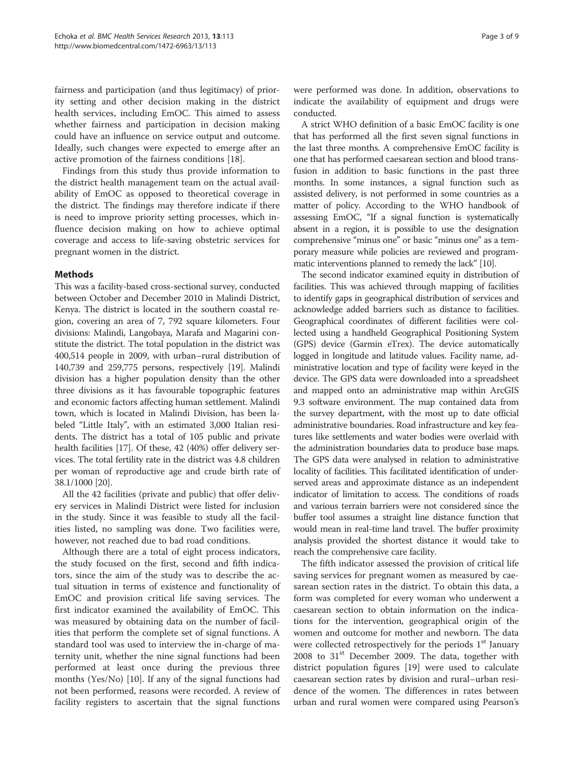fairness and participation (and thus legitimacy) of priority setting and other decision making in the district health services, including EmOC. This aimed to assess whether fairness and participation in decision making could have an influence on service output and outcome. Ideally, such changes were expected to emerge after an active promotion of the fairness conditions [[18\]](#page-8-0).

Findings from this study thus provide information to the district health management team on the actual availability of EmOC as opposed to theoretical coverage in the district. The findings may therefore indicate if there is need to improve priority setting processes, which influence decision making on how to achieve optimal coverage and access to life-saving obstetric services for pregnant women in the district.

# Methods

This was a facility-based cross-sectional survey, conducted between October and December 2010 in Malindi District, Kenya. The district is located in the southern coastal region, covering an area of 7, 792 square kilometers. Four divisions: Malindi, Langobaya, Marafa and Magarini constitute the district. The total population in the district was 400,514 people in 2009, with urban–rural distribution of 140,739 and 259,775 persons, respectively [[19](#page-8-0)]. Malindi division has a higher population density than the other three divisions as it has favourable topographic features and economic factors affecting human settlement. Malindi town, which is located in Malindi Division, has been labeled "Little Italy", with an estimated 3,000 Italian residents. The district has a total of 105 public and private health facilities [\[17\]](#page-8-0). Of these, 42 (40%) offer delivery services. The total fertility rate in the district was 4.8 children per woman of reproductive age and crude birth rate of 38.1/1000 [[20](#page-8-0)].

All the 42 facilities (private and public) that offer delivery services in Malindi District were listed for inclusion in the study. Since it was feasible to study all the facilities listed, no sampling was done. Two facilities were, however, not reached due to bad road conditions.

Although there are a total of eight process indicators, the study focused on the first, second and fifth indicators, since the aim of the study was to describe the actual situation in terms of existence and functionality of EmOC and provision critical life saving services. The first indicator examined the availability of EmOC. This was measured by obtaining data on the number of facilities that perform the complete set of signal functions. A standard tool was used to interview the in-charge of maternity unit, whether the nine signal functions had been performed at least once during the previous three months (Yes/No) [[10](#page-7-0)]. If any of the signal functions had not been performed, reasons were recorded. A review of facility registers to ascertain that the signal functions were performed was done. In addition, observations to indicate the availability of equipment and drugs were conducted.

A strict WHO definition of a basic EmOC facility is one that has performed all the first seven signal functions in the last three months. A comprehensive EmOC facility is one that has performed caesarean section and blood transfusion in addition to basic functions in the past three months. In some instances, a signal function such as assisted delivery, is not performed in some countries as a matter of policy. According to the WHO handbook of assessing EmOC, "If a signal function is systematically absent in a region, it is possible to use the designation comprehensive "minus one" or basic "minus one" as a temporary measure while policies are reviewed and programmatic interventions planned to remedy the lack" [[10](#page-7-0)].

The second indicator examined equity in distribution of facilities. This was achieved through mapping of facilities to identify gaps in geographical distribution of services and acknowledge added barriers such as distance to facilities. Geographical coordinates of different facilities were collected using a handheld Geographical Positioning System (GPS) device (Garmin eTrex). The device automatically logged in longitude and latitude values. Facility name, administrative location and type of facility were keyed in the device. The GPS data were downloaded into a spreadsheet and mapped onto an administrative map within ArcGIS 9.3 software environment. The map contained data from the survey department, with the most up to date official administrative boundaries. Road infrastructure and key features like settlements and water bodies were overlaid with the administration boundaries data to produce base maps. The GPS data were analysed in relation to administrative locality of facilities. This facilitated identification of underserved areas and approximate distance as an independent indicator of limitation to access. The conditions of roads and various terrain barriers were not considered since the buffer tool assumes a straight line distance function that would mean in real-time land travel. The buffer proximity analysis provided the shortest distance it would take to reach the comprehensive care facility.

The fifth indicator assessed the provision of critical life saving services for pregnant women as measured by caesarean section rates in the district. To obtain this data, a form was completed for every woman who underwent a caesarean section to obtain information on the indications for the intervention, geographical origin of the women and outcome for mother and newborn. The data were collected retrospectively for the periods  $1<sup>st</sup>$  January  $2008$  to  $31<sup>st</sup>$  December 2009. The data, together with district population figures [\[19](#page-8-0)] were used to calculate caesarean section rates by division and rural–urban residence of the women. The differences in rates between urban and rural women were compared using Pearson's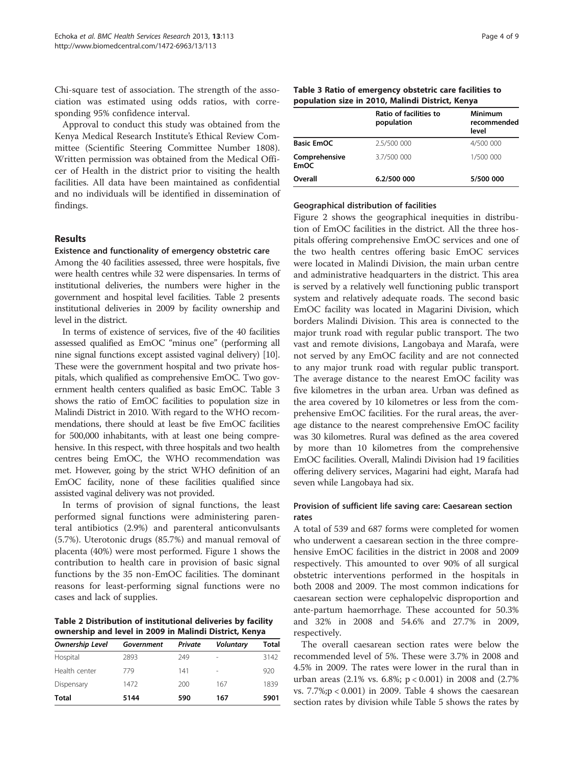Chi-square test of association. The strength of the association was estimated using odds ratios, with corresponding 95% confidence interval.

Approval to conduct this study was obtained from the Kenya Medical Research Institute's Ethical Review Committee (Scientific Steering Committee Number 1808). Written permission was obtained from the Medical Officer of Health in the district prior to visiting the health facilities. All data have been maintained as confidential and no individuals will be identified in dissemination of findings.

# Results

# Existence and functionality of emergency obstetric care

Among the 40 facilities assessed, three were hospitals, five were health centres while 32 were dispensaries. In terms of institutional deliveries, the numbers were higher in the government and hospital level facilities. Table 2 presents institutional deliveries in 2009 by facility ownership and level in the district.

In terms of existence of services, five of the 40 facilities assessed qualified as EmOC "minus one" (performing all nine signal functions except assisted vaginal delivery) [\[10](#page-7-0)]. These were the government hospital and two private hospitals, which qualified as comprehensive EmOC. Two government health centers qualified as basic EmOC. Table 3 shows the ratio of EmOC facilities to population size in Malindi District in 2010. With regard to the WHO recommendations, there should at least be five EmOC facilities for 500,000 inhabitants, with at least one being comprehensive. In this respect, with three hospitals and two health centres being EmOC, the WHO recommendation was met. However, going by the strict WHO definition of an EmOC facility, none of these facilities qualified since assisted vaginal delivery was not provided.

In terms of provision of signal functions, the least performed signal functions were administering parenteral antibiotics (2.9%) and parenteral anticonvulsants (5.7%). Uterotonic drugs (85.7%) and manual removal of placenta (40%) were most performed. Figure [1](#page-4-0) shows the contribution to health care in provision of basic signal functions by the 35 non-EmOC facilities. The dominant reasons for least-performing signal functions were no cases and lack of supplies.

Table 2 Distribution of institutional deliveries by facility ownership and level in 2009 in Malindi District, Kenya

| <b>Ownership Level</b> | Government | Private | <b>Voluntary</b> | Total |
|------------------------|------------|---------|------------------|-------|
| Hospital               | 2893       | 249     | $\qquad \qquad$  | 3142  |
| Health center          | 779        | 141     | $\qquad \qquad$  | 920   |
| Dispensary             | 1472       | 200     | 167              | 1839  |
| <b>Total</b>           | 5144       | 590     | 167              | 5901  |

| Table 3 Ratio of emergency obstetric care facilities to |
|---------------------------------------------------------|
| population size in 2010, Malindi District, Kenya        |

|                       | Ratio of facilities to<br>population | <b>Minimum</b><br>recommended<br>level |
|-----------------------|--------------------------------------|----------------------------------------|
| <b>Basic EmOC</b>     | 2.5/500 000                          | 4/500 000                              |
| Comprehensive<br>EmOC | 3.7/500 000                          | 1/500 000                              |
| Overall               | 6.2/500 000                          | 5/500 000                              |

# Geographical distribution of facilities

Figure [2](#page-4-0) shows the geographical inequities in distribution of EmOC facilities in the district. All the three hospitals offering comprehensive EmOC services and one of the two health centres offering basic EmOC services were located in Malindi Division, the main urban centre and administrative headquarters in the district. This area is served by a relatively well functioning public transport system and relatively adequate roads. The second basic EmOC facility was located in Magarini Division, which borders Malindi Division. This area is connected to the major trunk road with regular public transport. The two vast and remote divisions, Langobaya and Marafa, were not served by any EmOC facility and are not connected to any major trunk road with regular public transport. The average distance to the nearest EmOC facility was five kilometres in the urban area. Urban was defined as the area covered by 10 kilometres or less from the comprehensive EmOC facilities. For the rural areas, the average distance to the nearest comprehensive EmOC facility was 30 kilometres. Rural was defined as the area covered by more than 10 kilometres from the comprehensive EmOC facilities. Overall, Malindi Division had 19 facilities offering delivery services, Magarini had eight, Marafa had seven while Langobaya had six.

# Provision of sufficient life saving care: Caesarean section rates

A total of 539 and 687 forms were completed for women who underwent a caesarean section in the three comprehensive EmOC facilities in the district in 2008 and 2009 respectively. This amounted to over 90% of all surgical obstetric interventions performed in the hospitals in both 2008 and 2009. The most common indications for caesarean section were cephalopelvic disproportion and ante-partum haemorrhage. These accounted for 50.3% and 32% in 2008 and 54.6% and 27.7% in 2009, respectively.

The overall caesarean section rates were below the recommended level of 5%. These were 3.7% in 2008 and 4.5% in 2009. The rates were lower in the rural than in urban areas (2.1% vs. 6.8%; p < 0.001) in 2008 and (2.7% vs. 7.7%;p < 0.001) in 2009. Table [4](#page-5-0) shows the caesarean section rates by division while Table [5](#page-5-0) shows the rates by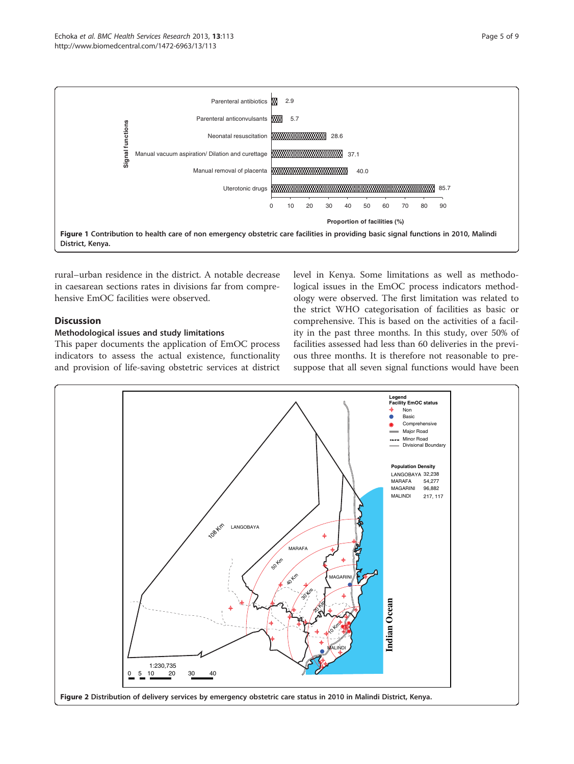<span id="page-4-0"></span>

rural–urban residence in the district. A notable decrease in caesarean sections rates in divisions far from comprehensive EmOC facilities were observed.

# **Discussion**

# Methodological issues and study limitations

This paper documents the application of EmOC process indicators to assess the actual existence, functionality and provision of life-saving obstetric services at district level in Kenya. Some limitations as well as methodological issues in the EmOC process indicators methodology were observed. The first limitation was related to the strict WHO categorisation of facilities as basic or comprehensive. This is based on the activities of a facility in the past three months. In this study, over 50% of facilities assessed had less than 60 deliveries in the previous three months. It is therefore not reasonable to presuppose that all seven signal functions would have been

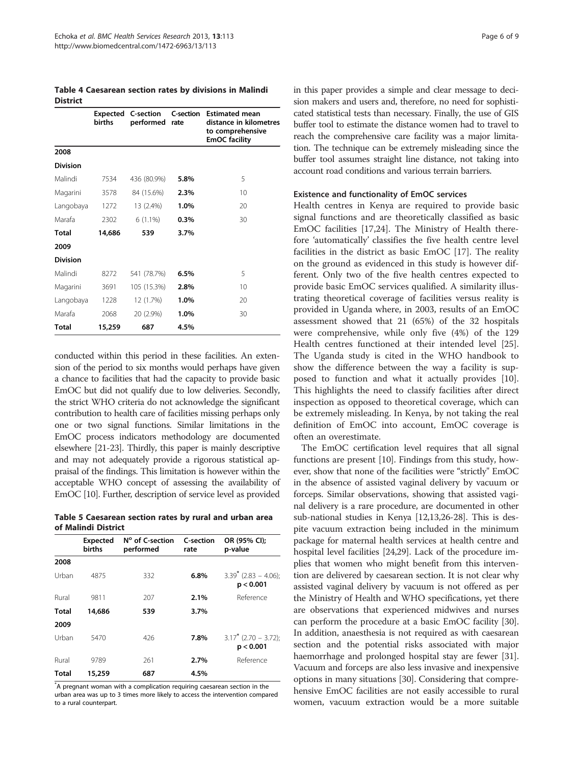<span id="page-5-0"></span>Table 4 Caesarean section rates by divisions in Malindi **District** 

|                 | Expected<br>births | C-section<br>performed | C-section<br>rate | <b>Estimated mean</b><br>distance in kilometres<br>to comprehensive<br><b>EmOC</b> facility |
|-----------------|--------------------|------------------------|-------------------|---------------------------------------------------------------------------------------------|
| 2008            |                    |                        |                   |                                                                                             |
| <b>Division</b> |                    |                        |                   |                                                                                             |
| Malindi         | 7534               | 436 (80.9%)            | 5.8%              | 5                                                                                           |
| Magarini        | 3578               | 84 (15.6%)             | 2.3%              | 10                                                                                          |
| Langobaya       | 1272               | 13 (2.4%)              | 1.0%              | 20                                                                                          |
| Marafa          | 2302               | $6(1.1\%)$             | 0.3%              | 30                                                                                          |
| <b>Total</b>    | 14,686             | 539                    | 3.7%              |                                                                                             |
| 2009            |                    |                        |                   |                                                                                             |
| <b>Division</b> |                    |                        |                   |                                                                                             |
| Malindi         | 8272               | 541 (78.7%)            | 6.5%              | 5                                                                                           |
| Magarini        | 3691               | 105 (15.3%)            | 2.8%              | 10                                                                                          |
| Langobaya       | 1228               | 12 (1.7%)              | 1.0%              | 20                                                                                          |
| Marafa          | 2068               | 20 (2.9%)              | 1.0%              | 30                                                                                          |
| Total           | 15,259             | 687                    | 4.5%              |                                                                                             |

conducted within this period in these facilities. An extension of the period to six months would perhaps have given a chance to facilities that had the capacity to provide basic EmOC but did not qualify due to low deliveries. Secondly, the strict WHO criteria do not acknowledge the significant contribution to health care of facilities missing perhaps only one or two signal functions. Similar limitations in the EmOC process indicators methodology are documented elsewhere [\[21-23](#page-8-0)]. Thirdly, this paper is mainly descriptive and may not adequately provide a rigorous statistical appraisal of the findings. This limitation is however within the acceptable WHO concept of assessing the availability of EmOC [[10\]](#page-7-0). Further, description of service level as provided

Table 5 Caesarean section rates by rural and urban area of Malindi District

|              | <b>Expected</b><br><b>births</b> | N° of C-section<br>performed | C-section<br>rate | OR (95% CI);<br>p-value                         |
|--------------|----------------------------------|------------------------------|-------------------|-------------------------------------------------|
| 2008         |                                  |                              |                   |                                                 |
| Urban        | 4875                             | 332                          | 6.8%              | $3.39$ <sup>*</sup> (2.83 – 4.06);<br>p < 0.001 |
| Rural        | 9811                             | 207                          | 2.1%              | Reference                                       |
| Total        | 14,686                           | 539                          | 3.7%              |                                                 |
| 2009         |                                  |                              |                   |                                                 |
| Urban        | 5470                             | 426                          | 7.8%              | $3.17$ * (2.70 – 3.72);<br>p < 0.001            |
| Rural        | 9789                             | 261                          | 2.7%              | Reference                                       |
| <b>Total</b> | 15,259                           | 687                          | 4.5%              |                                                 |

\* A pregnant woman with a complication requiring caesarean section in the urban area was up to 3 times more likely to access the intervention compared to a rural counterpart.

in this paper provides a simple and clear message to decision makers and users and, therefore, no need for sophisticated statistical tests than necessary. Finally, the use of GIS buffer tool to estimate the distance women had to travel to reach the comprehensive care facility was a major limitation. The technique can be extremely misleading since the buffer tool assumes straight line distance, not taking into account road conditions and various terrain barriers.

## Existence and functionality of EmOC services

Health centres in Kenya are required to provide basic signal functions and are theoretically classified as basic EmOC facilities [\[17,24\]](#page-8-0). The Ministry of Health therefore 'automatically' classifies the five health centre level facilities in the district as basic EmOC [\[17](#page-8-0)]. The reality on the ground as evidenced in this study is however different. Only two of the five health centres expected to provide basic EmOC services qualified. A similarity illustrating theoretical coverage of facilities versus reality is provided in Uganda where, in 2003, results of an EmOC assessment showed that 21 (65%) of the 32 hospitals were comprehensive, while only five (4%) of the 129 Health centres functioned at their intended level [\[25](#page-8-0)]. The Uganda study is cited in the WHO handbook to show the difference between the way a facility is supposed to function and what it actually provides [\[10](#page-7-0)]. This highlights the need to classify facilities after direct inspection as opposed to theoretical coverage, which can be extremely misleading. In Kenya, by not taking the real definition of EmOC into account, EmOC coverage is often an overestimate.

The EmOC certification level requires that all signal functions are present [\[10\]](#page-7-0). Findings from this study, however, show that none of the facilities were "strictly" EmOC in the absence of assisted vaginal delivery by vacuum or forceps. Similar observations, showing that assisted vaginal delivery is a rare procedure, are documented in other sub-national studies in Kenya [\[12,13,](#page-7-0)[26](#page-8-0)-[28](#page-8-0)]. This is despite vacuum extraction being included in the minimum package for maternal health services at health centre and hospital level facilities [\[24,29\]](#page-8-0). Lack of the procedure implies that women who might benefit from this intervention are delivered by caesarean section. It is not clear why assisted vaginal delivery by vacuum is not offered as per the Ministry of Health and WHO specifications, yet there are observations that experienced midwives and nurses can perform the procedure at a basic EmOC facility [[30](#page-8-0)]. In addition, anaesthesia is not required as with caesarean section and the potential risks associated with major haemorrhage and prolonged hospital stay are fewer [[31](#page-8-0)]. Vacuum and forceps are also less invasive and inexpensive options in many situations [\[30\]](#page-8-0). Considering that comprehensive EmOC facilities are not easily accessible to rural women, vacuum extraction would be a more suitable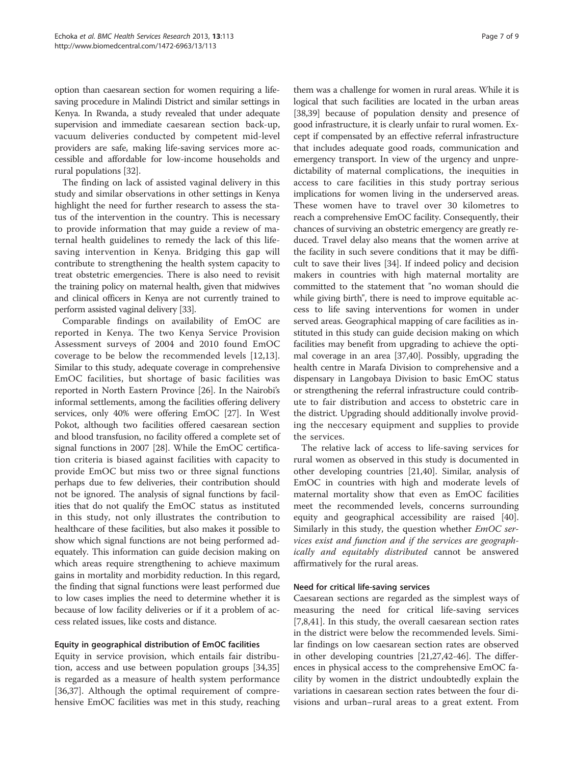option than caesarean section for women requiring a lifesaving procedure in Malindi District and similar settings in Kenya. In Rwanda, a study revealed that under adequate supervision and immediate caesarean section back-up, vacuum deliveries conducted by competent mid-level providers are safe, making life-saving services more accessible and affordable for low-income households and rural populations [\[32\]](#page-8-0).

The finding on lack of assisted vaginal delivery in this study and similar observations in other settings in Kenya highlight the need for further research to assess the status of the intervention in the country. This is necessary to provide information that may guide a review of maternal health guidelines to remedy the lack of this lifesaving intervention in Kenya. Bridging this gap will contribute to strengthening the health system capacity to treat obstetric emergencies. There is also need to revisit the training policy on maternal health, given that midwives and clinical officers in Kenya are not currently trained to perform assisted vaginal delivery [\[33\]](#page-8-0).

Comparable findings on availability of EmOC are reported in Kenya. The two Kenya Service Provision Assessment surveys of 2004 and 2010 found EmOC coverage to be below the recommended levels [[12,13](#page-7-0)]. Similar to this study, adequate coverage in comprehensive EmOC facilities, but shortage of basic facilities was reported in North Eastern Province [[26](#page-8-0)]. In the Nairobi's informal settlements, among the facilities offering delivery services, only 40% were offering EmOC [[27](#page-8-0)]. In West Pokot, although two facilities offered caesarean section and blood transfusion, no facility offered a complete set of signal functions in 2007 [\[28](#page-8-0)]. While the EmOC certification criteria is biased against facilities with capacity to provide EmOC but miss two or three signal functions perhaps due to few deliveries, their contribution should not be ignored. The analysis of signal functions by facilities that do not qualify the EmOC status as instituted in this study, not only illustrates the contribution to healthcare of these facilities, but also makes it possible to show which signal functions are not being performed adequately. This information can guide decision making on which areas require strengthening to achieve maximum gains in mortality and morbidity reduction. In this regard, the finding that signal functions were least performed due to low cases implies the need to determine whether it is because of low facility deliveries or if it a problem of access related issues, like costs and distance.

#### Equity in geographical distribution of EmOC facilities

Equity in service provision, which entails fair distribution, access and use between population groups [[34](#page-8-0),[35](#page-8-0)] is regarded as a measure of health system performance [[36,37\]](#page-8-0). Although the optimal requirement of comprehensive EmOC facilities was met in this study, reaching

them was a challenge for women in rural areas. While it is logical that such facilities are located in the urban areas [[38](#page-8-0),[39](#page-8-0)] because of population density and presence of good infrastructure, it is clearly unfair to rural women. Except if compensated by an effective referral infrastructure that includes adequate good roads, communication and emergency transport. In view of the urgency and unpredictability of maternal complications, the inequities in access to care facilities in this study portray serious implications for women living in the underserved areas. These women have to travel over 30 kilometres to reach a comprehensive EmOC facility. Consequently, their chances of surviving an obstetric emergency are greatly reduced. Travel delay also means that the women arrive at the facility in such severe conditions that it may be difficult to save their lives [[34](#page-8-0)]. If indeed policy and decision makers in countries with high maternal mortality are committed to the statement that "no woman should die while giving birth", there is need to improve equitable access to life saving interventions for women in under served areas. Geographical mapping of care facilities as instituted in this study can guide decision making on which facilities may benefit from upgrading to achieve the optimal coverage in an area [\[37,40\]](#page-8-0). Possibly, upgrading the health centre in Marafa Division to comprehensive and a dispensary in Langobaya Division to basic EmOC status or strengthening the referral infrastructure could contribute to fair distribution and access to obstetric care in the district. Upgrading should additionally involve providing the neccesary equipment and supplies to provide the services.

The relative lack of access to life-saving services for rural women as observed in this study is documented in other developing countries [[21,40](#page-8-0)]. Similar, analysis of EmOC in countries with high and moderate levels of maternal mortality show that even as EmOC facilities meet the recommended levels, concerns surrounding equity and geographical accessibility are raised [\[40](#page-8-0)]. Similarly in this study, the question whether EmOC services exist and function and if the services are geographically and equitably distributed cannot be answered affirmatively for the rural areas.

#### Need for critical life-saving services

Caesarean sections are regarded as the simplest ways of measuring the need for critical life-saving services [[7,8,](#page-7-0)[41\]](#page-8-0). In this study, the overall caesarean section rates in the district were below the recommended levels. Similar findings on low caesarean section rates are observed in other developing countries [[21,27,42](#page-8-0)-[46\]](#page-8-0). The differences in physical access to the comprehensive EmOC facility by women in the district undoubtedly explain the variations in caesarean section rates between the four divisions and urban–rural areas to a great extent. From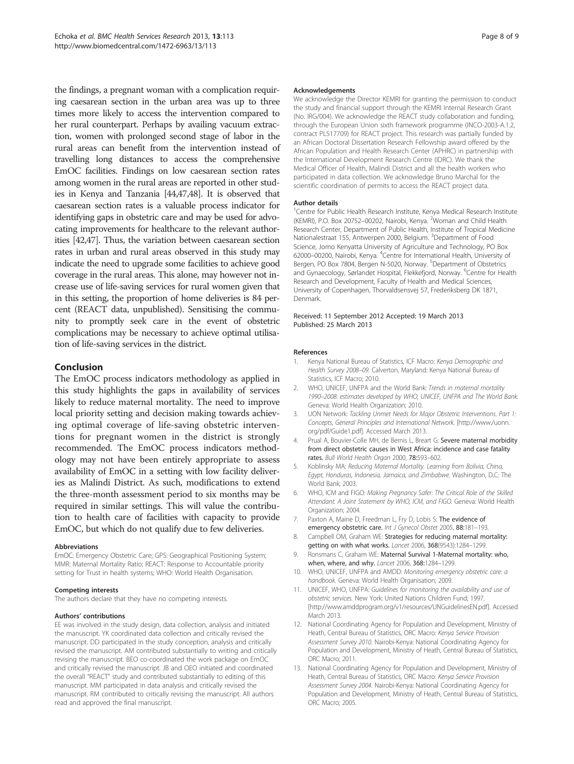<span id="page-7-0"></span>the findings, a pregnant woman with a complication requiring caesarean section in the urban area was up to three times more likely to access the intervention compared to her rural counterpart. Perhaps by availing vacuum extraction, women with prolonged second stage of labor in the rural areas can benefit from the intervention instead of travelling long distances to access the comprehensive EmOC facilities. Findings on low caesarean section rates among women in the rural areas are reported in other studies in Kenya and Tanzania [\[44,47,48](#page-8-0)]. It is observed that caesarean section rates is a valuable process indicator for identifying gaps in obstetric care and may be used for advocating improvements for healthcare to the relevant authorities [\[42,47](#page-8-0)]. Thus, the variation between caesarean section rates in urban and rural areas observed in this study may indicate the need to upgrade some facilities to achieve good coverage in the rural areas. This alone, may however not increase use of life-saving services for rural women given that in this setting, the proportion of home deliveries is 84 percent (REACT data, unpublished). Sensitising the community to promptly seek care in the event of obstetric complications may be necessary to achieve optimal utilisation of life-saving services in the district.

# Conclusion

The EmOC process indicators methodology as applied in this study highlights the gaps in availability of services likely to reduce maternal mortality. The need to improve local priority setting and decision making towards achieving optimal coverage of life-saving obstetric interventions for pregnant women in the district is strongly recommended. The EmOC process indicators methodology may not have been entirely appropriate to assess availability of EmOC in a setting with low facility deliveries as Malindi District. As such, modifications to extend the three-month assessment period to six months may be required in similar settings. This will value the contribution to health care of facilities with capacity to provide EmOC, but which do not qualify due to few deliveries.

#### Abbreviations

EmOC: Emergency Obstetric Care; GPS: Geographical Positioning System; MMR: Maternal Mortality Ratio; REACT: Response to Accountable priority setting for Trust in health systems; WHO: World Health Organisation.

#### Competing interests

The authors declare that they have no competing interests.

#### Authors' contributions

EE was involved in the study design, data collection, analysis and initiated the manuscript. YK coordinated data collection and critically revised the manuscript. DD participated in the study conception, analysis and critically revised the manuscript. AM contributed substantially to writing and critically revising the manuscript. BEO co-coordinated the work package on EmOC and critically revised the manuscript. JB and OEO initiated and coordinated the overall "REACT" study and contributed substantially to editing of this manuscript. MM participated in data analysis and critically revised the manuscript. RM contributed to critically revising the manuscript. All authors read and approved the final manuscript.

#### Acknowledgements

We acknowledge the Director KEMRI for granting the permission to conduct the study and financial support through the KEMRI Internal Research Grant (No. IRG/004). We acknowledge the REACT study collaboration and funding, through the European Union sixth framework programme (INCO-2003-A.1.2, contract PL517709) for REACT project. This research was partially funded by an African Doctoral Dissertation Research Fellowship award offered by the African Population and Health Research Center (APHRC) in partnership with the International Development Research Centre (IDRC). We thank the Medical Officer of Health, Malindi District and all the health workers who participated in data collection. We acknowledge Bruno Marchal for the scientific coordination of permits to access the REACT project data.

#### Author details

<sup>1</sup> Centre for Public Health Research Institute, Kenya Medical Research Institute (KEMRI), P.O. Box 20752-00202, Nairobi, Kenya. <sup>2</sup>Woman and Child Health Research Center, Department of Public Health, Institute of Tropical Medicine Nationalestraat 155, Antwerpen 2000, Belgium. <sup>3</sup>Department of Food Science, Jomo Kenyatta University of Agriculture and Technology, PO Box 62000-00200, Nairobi, Kenya. <sup>4</sup>Centre for International Health, University of Bergen, PO Box 7804, Bergen N-5020, Norway. <sup>5</sup>Department of Obstetrics and Gynaecology, Sørlandet Hospital, Flekkefjord, Norway. <sup>6</sup>Centre for Health Research and Development, Faculty of Health and Medical Sciences, University of Copenhagen, Thorvaldsensvej 57, Frederiksberg DK 1871, Denmark.

#### Received: 11 September 2012 Accepted: 19 March 2013 Published: 25 March 2013

#### References

- Kenya National Bureau of Statistics, ICF Macro: Kenya Demographic and Health Survey 2008–09. Calverton, Maryland: Kenya National Bureau of Statistics, ICF Macro; 2010.
- 2. WHO, UNICEF, UNEPA and the World Bank: Trends in maternal mortality 1990–2008: estimates developed by WHO, UNICEF, UNFPA and The World Bank. Geneva: World Health Organization; 2010.
- 3. UON Network: Tackling Unmet Needs for Major Obstetric Interventions. Part 1: Concepts, General Principles and International Network. [[http://www./uonn.](http://www./uonn.org/pdf/Guide1.pdf) [org/pdf/Guide1.pdf\]](http://www./uonn.org/pdf/Guide1.pdf). Accessed March 2013.
- 4. Prual A, Bouvier-Colle MH, de Bernis L, Breart G: Severe maternal morbidity from direct obstetric causes in West Africa: incidence and case fatality rates. Bull World Health Organ 2000, 78:593–602.
- 5. Koblinsky MA: Reducing Maternal Mortality. Learning from Bolivia, China, Egypt, Honduras, Indonesia, Jamaica, and Zimbabwe. Washington, D.C: The World Bank; 2003.
- 6. WHO, ICM and FIGO: Making Pregnancy Safer: The Critical Role of the Skilled Attendant. A Joint Statement by WHO, ICM, and FIGO. Geneva: World Health Organization; 2004.
- 7. Paxton A, Maine D, Freedman L, Fry D, Lobis S: The evidence of emergency obstetric care. Int J Gynecol Obstet 2005, 88:181-193.
- 8. Campbell OM, Graham WE: Strategies for reducing maternal mortality: getting on with what works. Lancet 2006, 368(9543):1284–1299.
- 9. Ronsmans C, Graham WE: Maternal Survival 1-Maternal mortality: who, when, where, and why. Lancet 2006, 368:1284–1299.
- 10. WHO, UNICEF, UNFPA and AMDD: Monitoring emergency obstetric care: a handbook. Geneva: World Health Organisation; 2009.
- 11. UNICEF, WHO, UNFPA: Guidelines for monitoring the availability and use of obstetric services. New York: United Nations Children Fund; 1997. [<http://www.amddprogram.org/v1/resources/UNGuidelinesEN.pdf>]. Accessed March 2013.
- 12. National Coordinating Agency for Population and Development, Ministry of Heath, Central Bureau of Statistics, ORC Macro: Kenya Service Provision Assessment Survey 2010. Nairobi-Kenya: National Coordinating Agency for Population and Development, Ministry of Heath, Central Bureau of Statistics, ORC Macro; 2011.
- 13. National Coordinating Agency for Population and Development, Ministry of Heath, Central Bureau of Statistics, ORC Macro: Kenya Service Provision Assessment Survey 2004. Nairobi-Kenya: National Coordinating Agency for Population and Development, Ministry of Heath, Central Bureau of Statistics, ORC Macro; 2005.